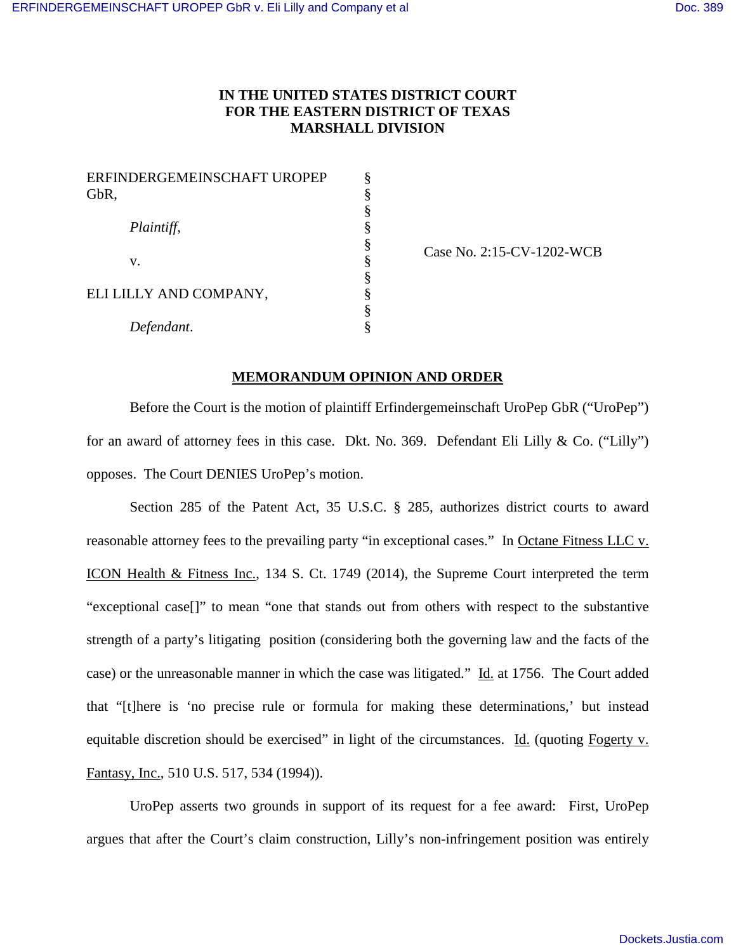## **IN THE UNITED STATES DISTRICT COURT FOR THE EASTERN DISTRICT OF TEXAS MARSHALL DIVISION**

| ERFINDERGEMEINSCHAFT UROPEP | § |
|-----------------------------|---|
| GbR,                        | § |
|                             | § |
| Plaintiff,                  | § |
|                             | § |
| V.                          | § |
|                             | § |
| ELI LILLY AND COMPANY,      | § |
|                             | § |
| Defendant.                  | § |

Case No. 2:15-CV-1202-WCB

### **MEMORANDUM OPINION AND ORDER**

Before the Court is the motion of plaintiff Erfindergemeinschaft UroPep GbR ("UroPep") for an award of attorney fees in this case. Dkt. No. 369. Defendant Eli Lilly & Co. ("Lilly") opposes. The Court DENIES UroPep's motion.

Section 285 of the Patent Act, 35 U.S.C. § 285, authorizes district courts to award reasonable attorney fees to the prevailing party "in exceptional cases." In Octane Fitness LLC v. ICON Health & Fitness Inc., 134 S. Ct. 1749 (2014), the Supreme Court interpreted the term "exceptional case[]" to mean "one that stands out from others with respect to the substantive strength of a party's litigating position (considering both the governing law and the facts of the case) or the unreasonable manner in which the case was litigated." Id. at 1756. The Court added that "[t]here is 'no precise rule or formula for making these determinations,' but instead equitable discretion should be exercised" in light of the circumstances. Id. (quoting Fogerty v. Fantasy, Inc., 510 U.S. 517, 534 (1994)).

UroPep asserts two grounds in support of its request for a fee award: First, UroPep argues that after the Court's claim construction, Lilly's non-infringement position was entirely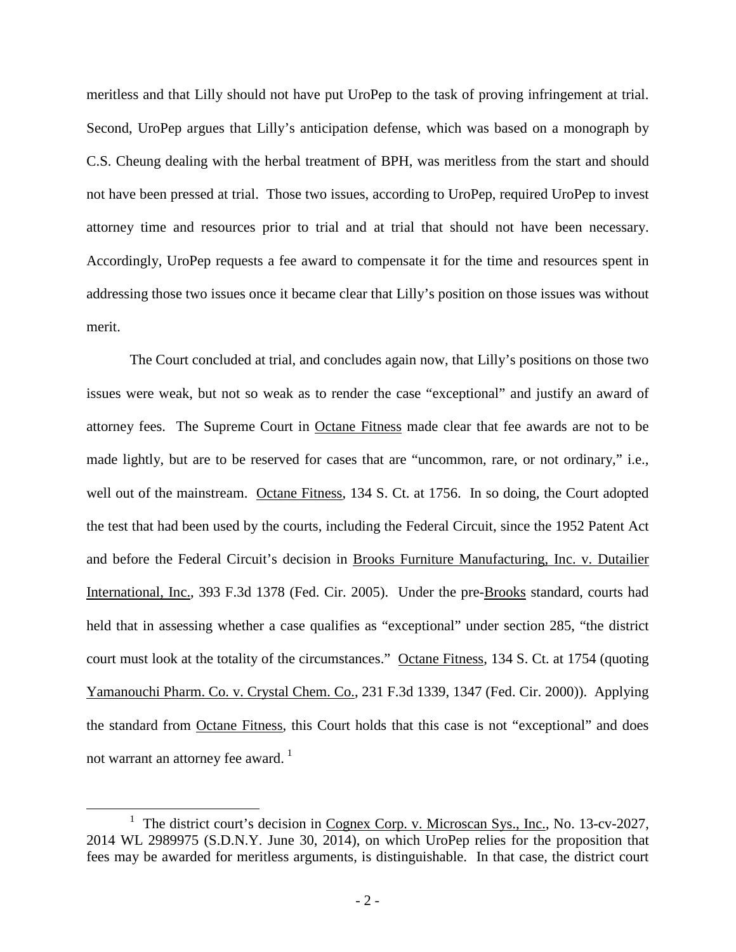meritless and that Lilly should not have put UroPep to the task of proving infringement at trial. Second, UroPep argues that Lilly's anticipation defense, which was based on a monograph by C.S. Cheung dealing with the herbal treatment of BPH, was meritless from the start and should not have been pressed at trial. Those two issues, according to UroPep, required UroPep to invest attorney time and resources prior to trial and at trial that should not have been necessary. Accordingly, UroPep requests a fee award to compensate it for the time and resources spent in addressing those two issues once it became clear that Lilly's position on those issues was without merit.

The Court concluded at trial, and concludes again now, that Lilly's positions on those two issues were weak, but not so weak as to render the case "exceptional" and justify an award of attorney fees. The Supreme Court in Octane Fitness made clear that fee awards are not to be made lightly, but are to be reserved for cases that are "uncommon, rare, or not ordinary," i.e., well out of the mainstream. Octane Fitness, 134 S. Ct. at 1756. In so doing, the Court adopted the test that had been used by the courts, including the Federal Circuit, since the 1952 Patent Act and before the Federal Circuit's decision in Brooks Furniture Manufacturing, Inc. v. Dutailier International, Inc., 393 F.3d 1378 (Fed. Cir. 2005). Under the pre-Brooks standard, courts had held that in assessing whether a case qualifies as "exceptional" under section 285, "the district court must look at the totality of the circumstances." Octane Fitness, 134 S. Ct. at 1754 (quoting Yamanouchi Pharm. Co. v. Crystal Chem. Co., 231 F.3d 1339, 1347 (Fed. Cir. 2000)). Applying the standard from Octane Fitness, this Court holds that this case is not "exceptional" and does not warrant an attorney fee award.  $\frac{1}{1}$  $\frac{1}{1}$  $\frac{1}{1}$ 

 $\overline{a}$ 

<span id="page-1-0"></span><sup>&</sup>lt;sup>1</sup> The district court's decision in Cognex Corp. v. Microscan Sys., Inc., No. 13-cv-2027, 2014 WL 2989975 (S.D.N.Y. June 30, 2014), on which UroPep relies for the proposition that fees may be awarded for meritless arguments, is distinguishable. In that case, the district court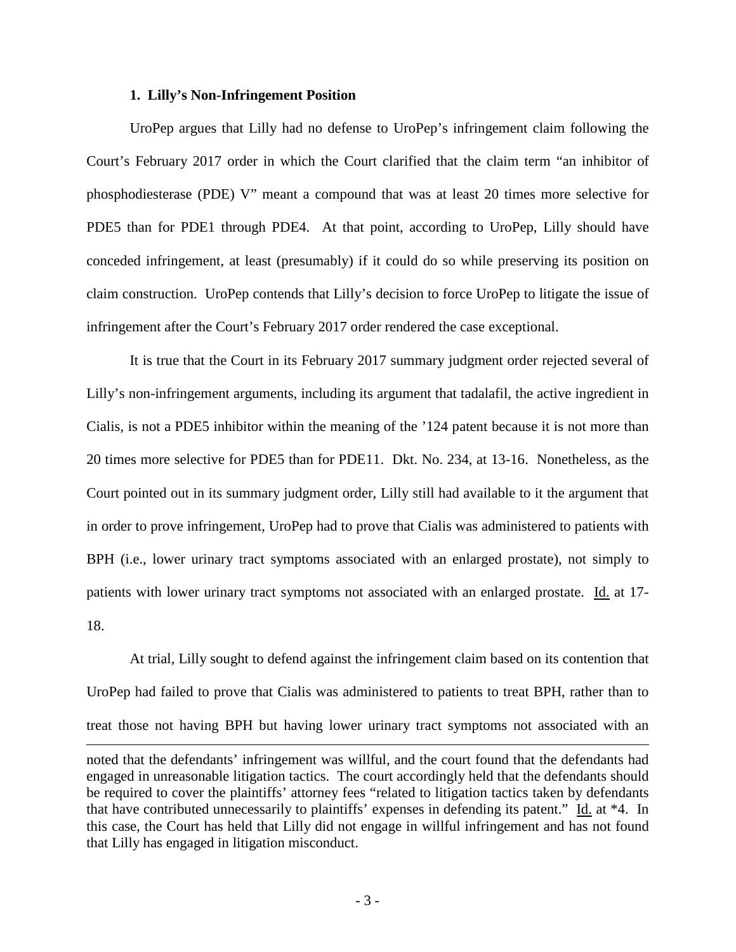### **1. Lilly's Non-Infringement Position**

 $\overline{a}$ 

 UroPep argues that Lilly had no defense to UroPep's infringement claim following the Court's February 2017 order in which the Court clarified that the claim term "an inhibitor of phosphodiesterase (PDE) V" meant a compound that was at least 20 times more selective for PDE5 than for PDE1 through PDE4. At that point, according to UroPep, Lilly should have conceded infringement, at least (presumably) if it could do so while preserving its position on claim construction. UroPep contends that Lilly's decision to force UroPep to litigate the issue of infringement after the Court's February 2017 order rendered the case exceptional.

It is true that the Court in its February 2017 summary judgment order rejected several of Lilly's non-infringement arguments, including its argument that tadalafil, the active ingredient in Cialis, is not a PDE5 inhibitor within the meaning of the '124 patent because it is not more than 20 times more selective for PDE5 than for PDE11. Dkt. No. 234, at 13-16. Nonetheless, as the Court pointed out in its summary judgment order, Lilly still had available to it the argument that in order to prove infringement, UroPep had to prove that Cialis was administered to patients with BPH (i.e., lower urinary tract symptoms associated with an enlarged prostate), not simply to patients with lower urinary tract symptoms not associated with an enlarged prostate. Id. at 17- 18.

 At trial, Lilly sought to defend against the infringement claim based on its contention that UroPep had failed to prove that Cialis was administered to patients to treat BPH, rather than to treat those not having BPH but having lower urinary tract symptoms not associated with an

noted that the defendants' infringement was willful, and the court found that the defendants had engaged in unreasonable litigation tactics. The court accordingly held that the defendants should be required to cover the plaintiffs' attorney fees "related to litigation tactics taken by defendants that have contributed unnecessarily to plaintiffs' expenses in defending its patent." Id. at \*4. In this case, the Court has held that Lilly did not engage in willful infringement and has not found that Lilly has engaged in litigation misconduct.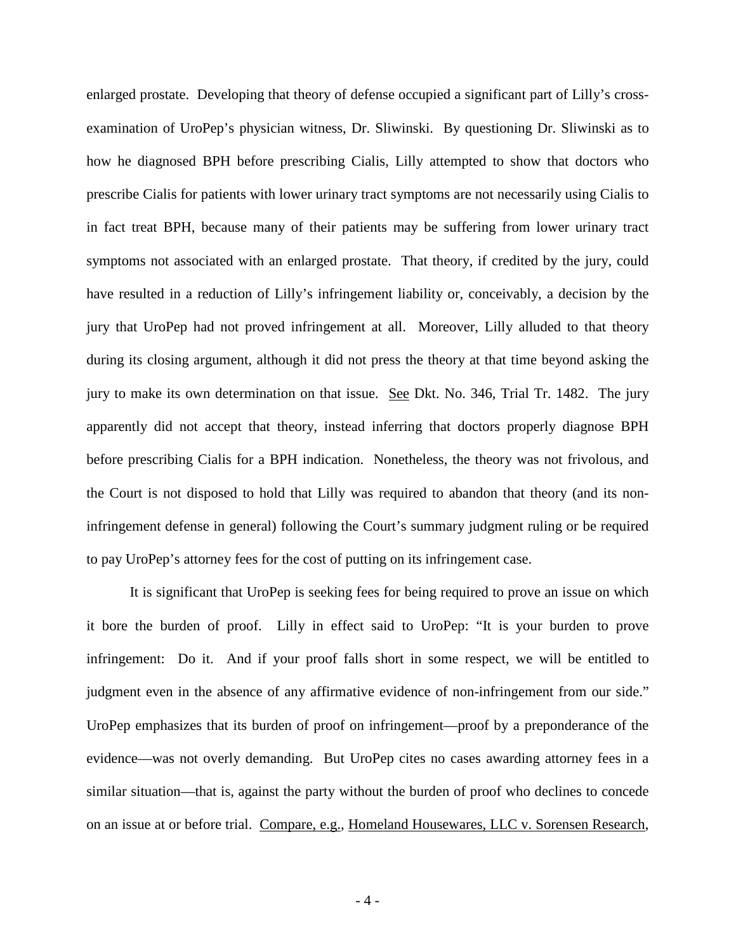enlarged prostate. Developing that theory of defense occupied a significant part of Lilly's crossexamination of UroPep's physician witness, Dr. Sliwinski. By questioning Dr. Sliwinski as to how he diagnosed BPH before prescribing Cialis, Lilly attempted to show that doctors who prescribe Cialis for patients with lower urinary tract symptoms are not necessarily using Cialis to in fact treat BPH, because many of their patients may be suffering from lower urinary tract symptoms not associated with an enlarged prostate. That theory, if credited by the jury, could have resulted in a reduction of Lilly's infringement liability or, conceivably, a decision by the jury that UroPep had not proved infringement at all. Moreover, Lilly alluded to that theory during its closing argument, although it did not press the theory at that time beyond asking the jury to make its own determination on that issue. See Dkt. No. 346, Trial Tr. 1482. The jury apparently did not accept that theory, instead inferring that doctors properly diagnose BPH before prescribing Cialis for a BPH indication. Nonetheless, the theory was not frivolous, and the Court is not disposed to hold that Lilly was required to abandon that theory (and its noninfringement defense in general) following the Court's summary judgment ruling or be required to pay UroPep's attorney fees for the cost of putting on its infringement case.

It is significant that UroPep is seeking fees for being required to prove an issue on which it bore the burden of proof. Lilly in effect said to UroPep: "It is your burden to prove infringement: Do it. And if your proof falls short in some respect, we will be entitled to judgment even in the absence of any affirmative evidence of non-infringement from our side." UroPep emphasizes that its burden of proof on infringement—proof by a preponderance of the evidence—was not overly demanding. But UroPep cites no cases awarding attorney fees in a similar situation—that is, against the party without the burden of proof who declines to concede on an issue at or before trial. Compare, e.g., Homeland Housewares, LLC v. Sorensen Research,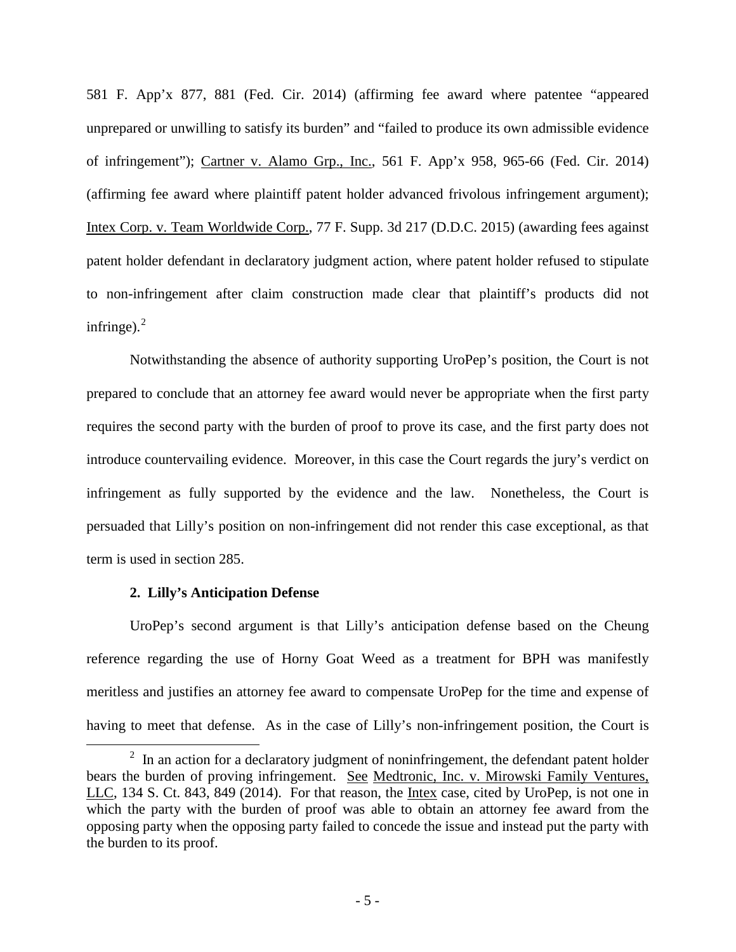581 F. App'x 877, 881 (Fed. Cir. 2014) (affirming fee award where patentee "appeared unprepared or unwilling to satisfy its burden" and "failed to produce its own admissible evidence of infringement"); Cartner v. Alamo Grp., Inc., 561 F. App'x 958, 965-66 (Fed. Cir. 2014) (affirming fee award where plaintiff patent holder advanced frivolous infringement argument); Intex Corp. v. Team Worldwide Corp., 77 F. Supp. 3d 217 (D.D.C. 2015) (awarding fees against patent holder defendant in declaratory judgment action, where patent holder refused to stipulate to non-infringement after claim construction made clear that plaintiff's products did not infringe). $2$ 

Notwithstanding the absence of authority supporting UroPep's position, the Court is not prepared to conclude that an attorney fee award would never be appropriate when the first party requires the second party with the burden of proof to prove its case, and the first party does not introduce countervailing evidence. Moreover, in this case the Court regards the jury's verdict on infringement as fully supported by the evidence and the law. Nonetheless, the Court is persuaded that Lilly's position on non-infringement did not render this case exceptional, as that term is used in section 285.

#### **2. Lilly's Anticipation Defense**

<u>.</u>

UroPep's second argument is that Lilly's anticipation defense based on the Cheung reference regarding the use of Horny Goat Weed as a treatment for BPH was manifestly meritless and justifies an attorney fee award to compensate UroPep for the time and expense of having to meet that defense. As in the case of Lilly's non-infringement position, the Court is

<span id="page-4-0"></span> $2$  In an action for a declaratory judgment of noninfringement, the defendant patent holder bears the burden of proving infringement. See Medtronic, Inc. v. Mirowski Family Ventures, LLC, 134 S. Ct. 843, 849 (2014). For that reason, the Intex case, cited by UroPep, is not one in which the party with the burden of proof was able to obtain an attorney fee award from the opposing party when the opposing party failed to concede the issue and instead put the party with the burden to its proof.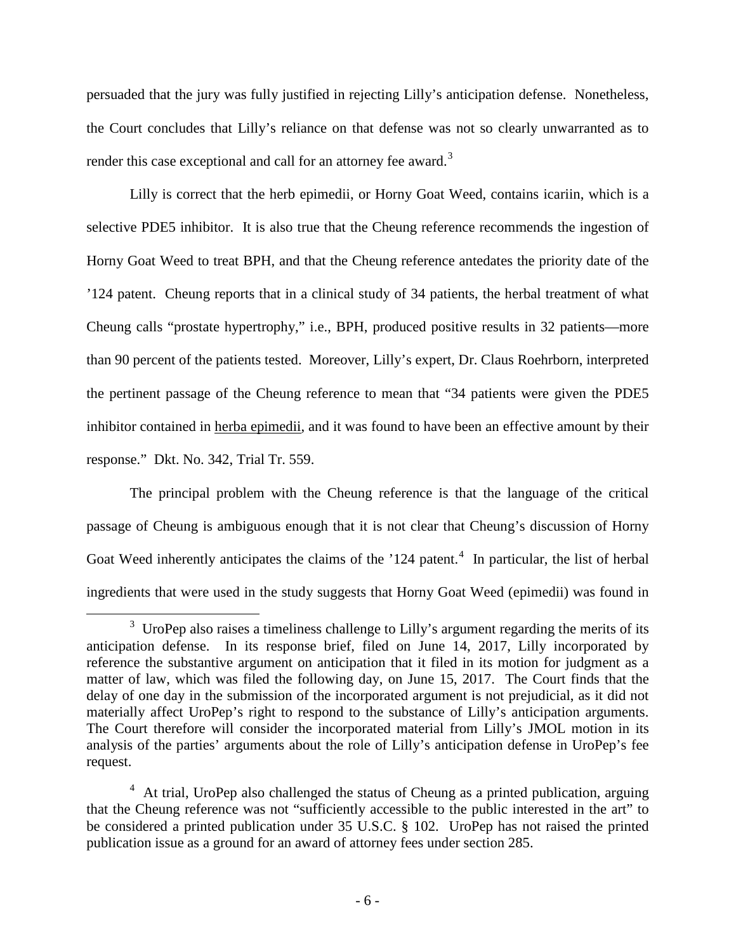persuaded that the jury was fully justified in rejecting Lilly's anticipation defense. Nonetheless, the Court concludes that Lilly's reliance on that defense was not so clearly unwarranted as to render this case exceptional and call for an attorney fee award.<sup>[3](#page-5-0)</sup>

Lilly is correct that the herb epimedii, or Horny Goat Weed, contains icariin, which is a selective PDE5 inhibitor. It is also true that the Cheung reference recommends the ingestion of Horny Goat Weed to treat BPH, and that the Cheung reference antedates the priority date of the '124 patent. Cheung reports that in a clinical study of 34 patients, the herbal treatment of what Cheung calls "prostate hypertrophy," i.e., BPH, produced positive results in 32 patients—more than 90 percent of the patients tested. Moreover, Lilly's expert, Dr. Claus Roehrborn, interpreted the pertinent passage of the Cheung reference to mean that "34 patients were given the PDE5 inhibitor contained in herba epimedii, and it was found to have been an effective amount by their response." Dkt. No. 342, Trial Tr. 559.

The principal problem with the Cheung reference is that the language of the critical passage of Cheung is ambiguous enough that it is not clear that Cheung's discussion of Horny Goat Weed inherently anticipates the claims of the '12[4](#page-5-1) patent.<sup>4</sup> In particular, the list of herbal ingredients that were used in the study suggests that Horny Goat Weed (epimedii) was found in

 $\overline{a}$ 

<span id="page-5-0"></span> $3$  UroPep also raises a timeliness challenge to Lilly's argument regarding the merits of its anticipation defense. In its response brief, filed on June 14, 2017, Lilly incorporated by reference the substantive argument on anticipation that it filed in its motion for judgment as a matter of law, which was filed the following day, on June 15, 2017. The Court finds that the delay of one day in the submission of the incorporated argument is not prejudicial, as it did not materially affect UroPep's right to respond to the substance of Lilly's anticipation arguments. The Court therefore will consider the incorporated material from Lilly's JMOL motion in its analysis of the parties' arguments about the role of Lilly's anticipation defense in UroPep's fee request.

<span id="page-5-1"></span><sup>&</sup>lt;sup>4</sup> At trial, UroPep also challenged the status of Cheung as a printed publication, arguing that the Cheung reference was not "sufficiently accessible to the public interested in the art" to be considered a printed publication under 35 U.S.C. § 102. UroPep has not raised the printed publication issue as a ground for an award of attorney fees under section 285.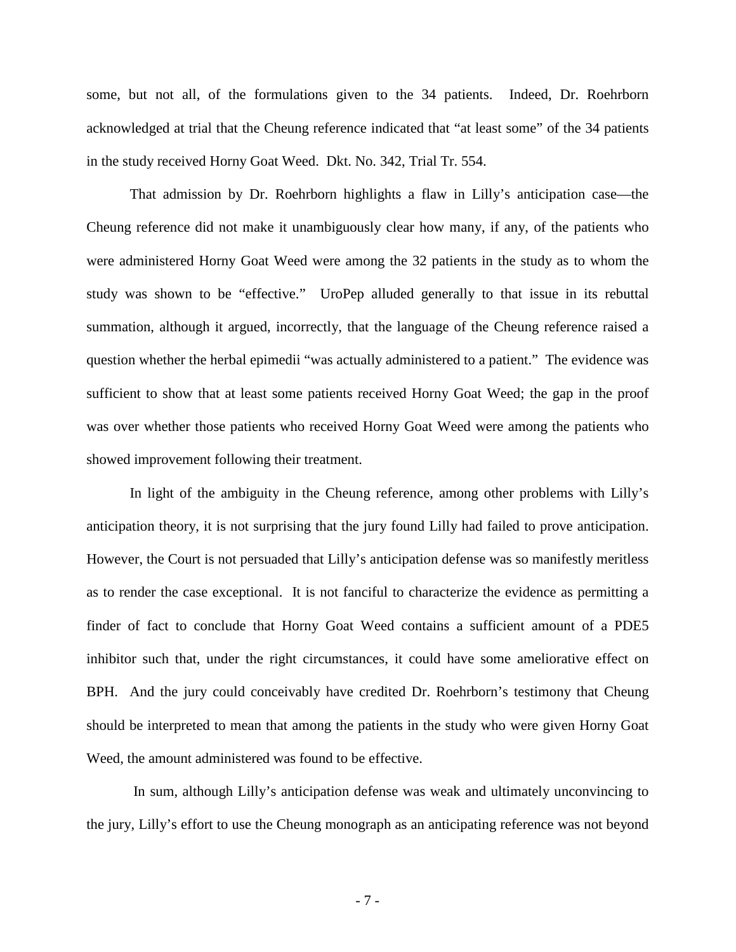some, but not all, of the formulations given to the 34 patients. Indeed, Dr. Roehrborn acknowledged at trial that the Cheung reference indicated that "at least some" of the 34 patients in the study received Horny Goat Weed. Dkt. No. 342, Trial Tr. 554.

That admission by Dr. Roehrborn highlights a flaw in Lilly's anticipation case—the Cheung reference did not make it unambiguously clear how many, if any, of the patients who were administered Horny Goat Weed were among the 32 patients in the study as to whom the study was shown to be "effective." UroPep alluded generally to that issue in its rebuttal summation, although it argued, incorrectly, that the language of the Cheung reference raised a question whether the herbal epimedii "was actually administered to a patient." The evidence was sufficient to show that at least some patients received Horny Goat Weed; the gap in the proof was over whether those patients who received Horny Goat Weed were among the patients who showed improvement following their treatment.

In light of the ambiguity in the Cheung reference, among other problems with Lilly's anticipation theory, it is not surprising that the jury found Lilly had failed to prove anticipation. However, the Court is not persuaded that Lilly's anticipation defense was so manifestly meritless as to render the case exceptional. It is not fanciful to characterize the evidence as permitting a finder of fact to conclude that Horny Goat Weed contains a sufficient amount of a PDE5 inhibitor such that, under the right circumstances, it could have some ameliorative effect on BPH. And the jury could conceivably have credited Dr. Roehrborn's testimony that Cheung should be interpreted to mean that among the patients in the study who were given Horny Goat Weed, the amount administered was found to be effective.

In sum, although Lilly's anticipation defense was weak and ultimately unconvincing to the jury, Lilly's effort to use the Cheung monograph as an anticipating reference was not beyond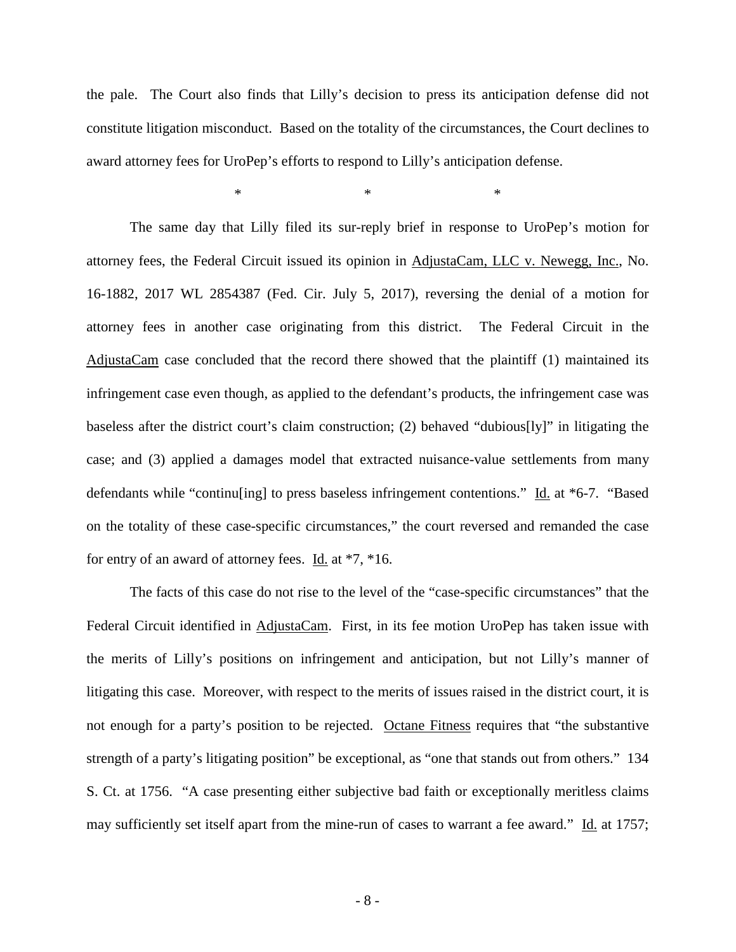the pale. The Court also finds that Lilly's decision to press its anticipation defense did not constitute litigation misconduct. Based on the totality of the circumstances, the Court declines to award attorney fees for UroPep's efforts to respond to Lilly's anticipation defense.

 $*$   $*$   $*$   $*$ 

The same day that Lilly filed its sur-reply brief in response to UroPep's motion for attorney fees, the Federal Circuit issued its opinion in AdjustaCam, LLC v. Newegg, Inc., No. 16-1882, 2017 WL 2854387 (Fed. Cir. July 5, 2017), reversing the denial of a motion for attorney fees in another case originating from this district. The Federal Circuit in the AdjustaCam case concluded that the record there showed that the plaintiff (1) maintained its infringement case even though, as applied to the defendant's products, the infringement case was baseless after the district court's claim construction; (2) behaved "dubious[ly]" in litigating the case; and (3) applied a damages model that extracted nuisance-value settlements from many defendants while "continu[ing] to press baseless infringement contentions." Id. at \*6-7. "Based on the totality of these case-specific circumstances," the court reversed and remanded the case for entry of an award of attorney fees. Id. at  $*7$ ,  $*16$ .

The facts of this case do not rise to the level of the "case-specific circumstances" that the Federal Circuit identified in AdjustaCam. First, in its fee motion UroPep has taken issue with the merits of Lilly's positions on infringement and anticipation, but not Lilly's manner of litigating this case. Moreover, with respect to the merits of issues raised in the district court, it is not enough for a party's position to be rejected. Octane Fitness requires that "the substantive strength of a party's litigating position" be exceptional, as "one that stands out from others." 134 S. Ct. at 1756. "A case presenting either subjective bad faith or exceptionally meritless claims may sufficiently set itself apart from the mine-run of cases to warrant a fee award." Id. at 1757;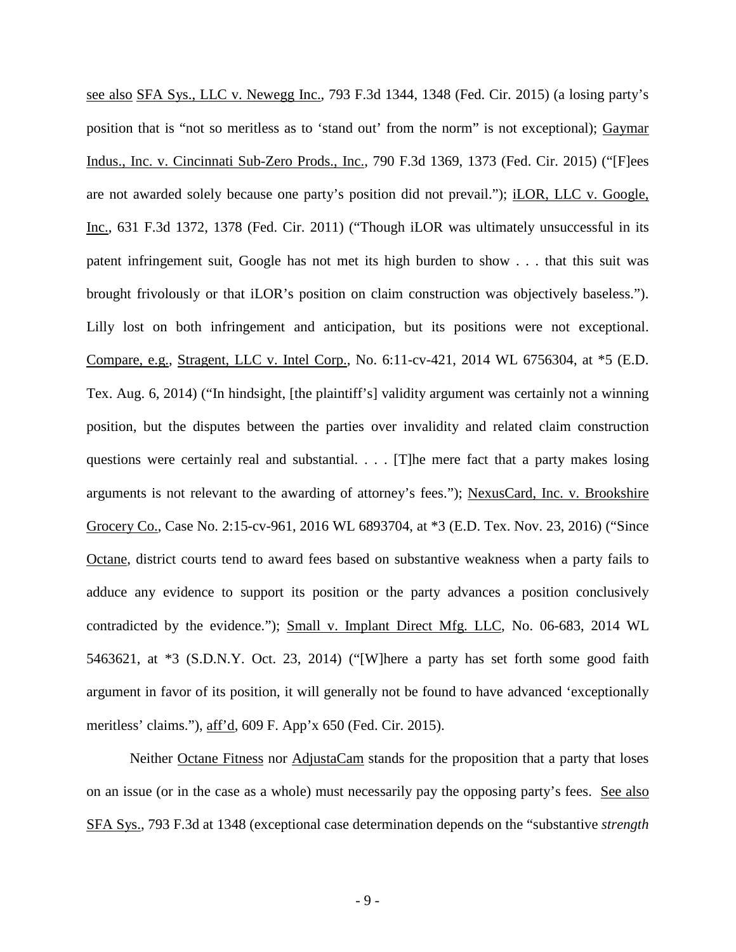see also SFA Sys., LLC v. Newegg Inc., 793 F.3d 1344, 1348 (Fed. Cir. 2015) (a losing party's position that is "not so meritless as to 'stand out' from the norm" is not exceptional); Gaymar Indus., Inc. v. Cincinnati Sub-Zero Prods., Inc., 790 F.3d 1369, 1373 (Fed. Cir. 2015) ("[F]ees are not awarded solely because one party's position did not prevail."); iLOR, LLC v. Google, Inc., 631 F.3d 1372, 1378 (Fed. Cir. 2011) ("Though iLOR was ultimately unsuccessful in its patent infringement suit, Google has not met its high burden to show . . . that this suit was brought frivolously or that iLOR's position on claim construction was objectively baseless."). Lilly lost on both infringement and anticipation, but its positions were not exceptional. Compare, e.g., Stragent, LLC v. Intel Corp., No. 6:11-cv-421, 2014 WL 6756304, at \*5 (E.D. Tex. Aug. 6, 2014) ("In hindsight, [the plaintiff's] validity argument was certainly not a winning position, but the disputes between the parties over invalidity and related claim construction questions were certainly real and substantial. . . . [T]he mere fact that a party makes losing arguments is not relevant to the awarding of attorney's fees."); NexusCard, Inc. v. Brookshire Grocery Co., Case No. 2:15-cv-961, 2016 WL 6893704, at \*3 (E.D. Tex. Nov. 23, 2016) ("Since Octane, district courts tend to award fees based on substantive weakness when a party fails to adduce any evidence to support its position or the party advances a position conclusively contradicted by the evidence."); Small v. Implant Direct Mfg. LLC, No. 06-683, 2014 WL 5463621, at \*3 (S.D.N.Y. Oct. 23, 2014) ("[W]here a party has set forth some good faith argument in favor of its position, it will generally not be found to have advanced 'exceptionally meritless' claims."), aff'd, 609 F. App'x 650 (Fed. Cir. 2015).

Neither Octane Fitness nor AdjustaCam stands for the proposition that a party that loses on an issue (or in the case as a whole) must necessarily pay the opposing party's fees. See also SFA Sys., 793 F.3d at 1348 (exceptional case determination depends on the "substantive *strength*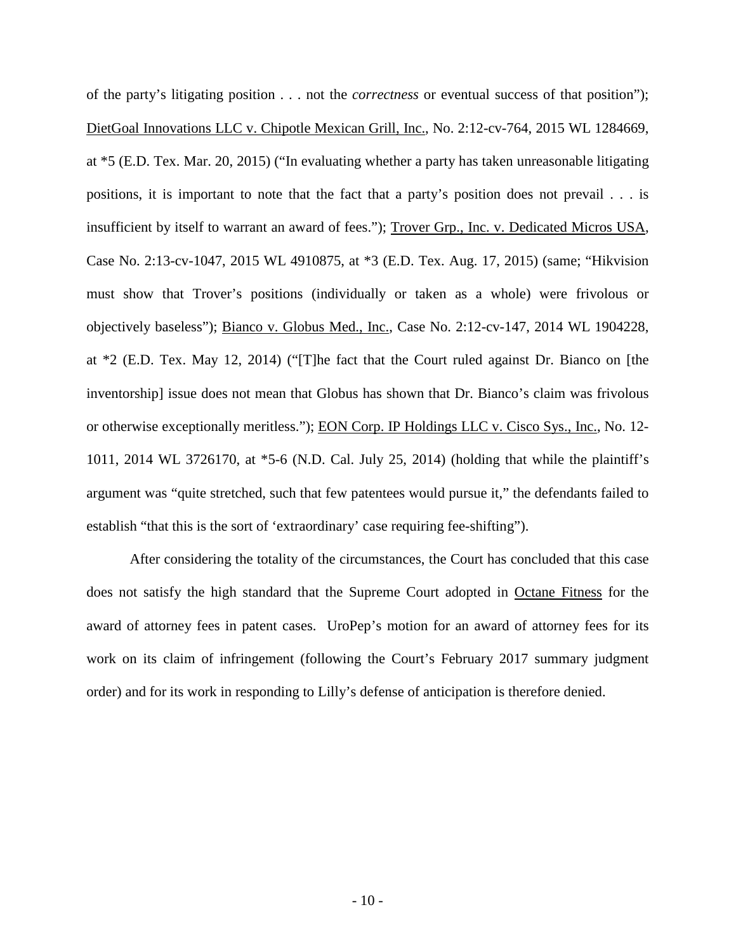of the party's litigating position . . . not the *correctness* or eventual success of that position"); DietGoal Innovations LLC v. Chipotle Mexican Grill, Inc., No. 2:12-cv-764, 2015 WL 1284669, at \*5 (E.D. Tex. Mar. 20, 2015) ("In evaluating whether a party has taken unreasonable litigating positions, it is important to note that the fact that a party's position does not prevail . . . is insufficient by itself to warrant an award of fees."); Trover Grp., Inc. v. Dedicated Micros USA, Case No. 2:13-cv-1047, 2015 WL 4910875, at \*3 (E.D. Tex. Aug. 17, 2015) (same; "Hikvision must show that Trover's positions (individually or taken as a whole) were frivolous or objectively baseless"); Bianco v. Globus Med., Inc., Case No. 2:12-cv-147, 2014 WL 1904228, at \*2 (E.D. Tex. May 12, 2014) ("[T]he fact that the Court ruled against Dr. Bianco on [the inventorship] issue does not mean that Globus has shown that Dr. Bianco's claim was frivolous or otherwise exceptionally meritless."); EON Corp. IP Holdings LLC v. Cisco Sys., Inc., No. 12- 1011, 2014 WL 3726170, at \*5-6 (N.D. Cal. July 25, 2014) (holding that while the plaintiff's argument was "quite stretched, such that few patentees would pursue it," the defendants failed to establish "that this is the sort of 'extraordinary' case requiring fee-shifting").

After considering the totality of the circumstances, the Court has concluded that this case does not satisfy the high standard that the Supreme Court adopted in Octane Fitness for the award of attorney fees in patent cases. UroPep's motion for an award of attorney fees for its work on its claim of infringement (following the Court's February 2017 summary judgment order) and for its work in responding to Lilly's defense of anticipation is therefore denied.